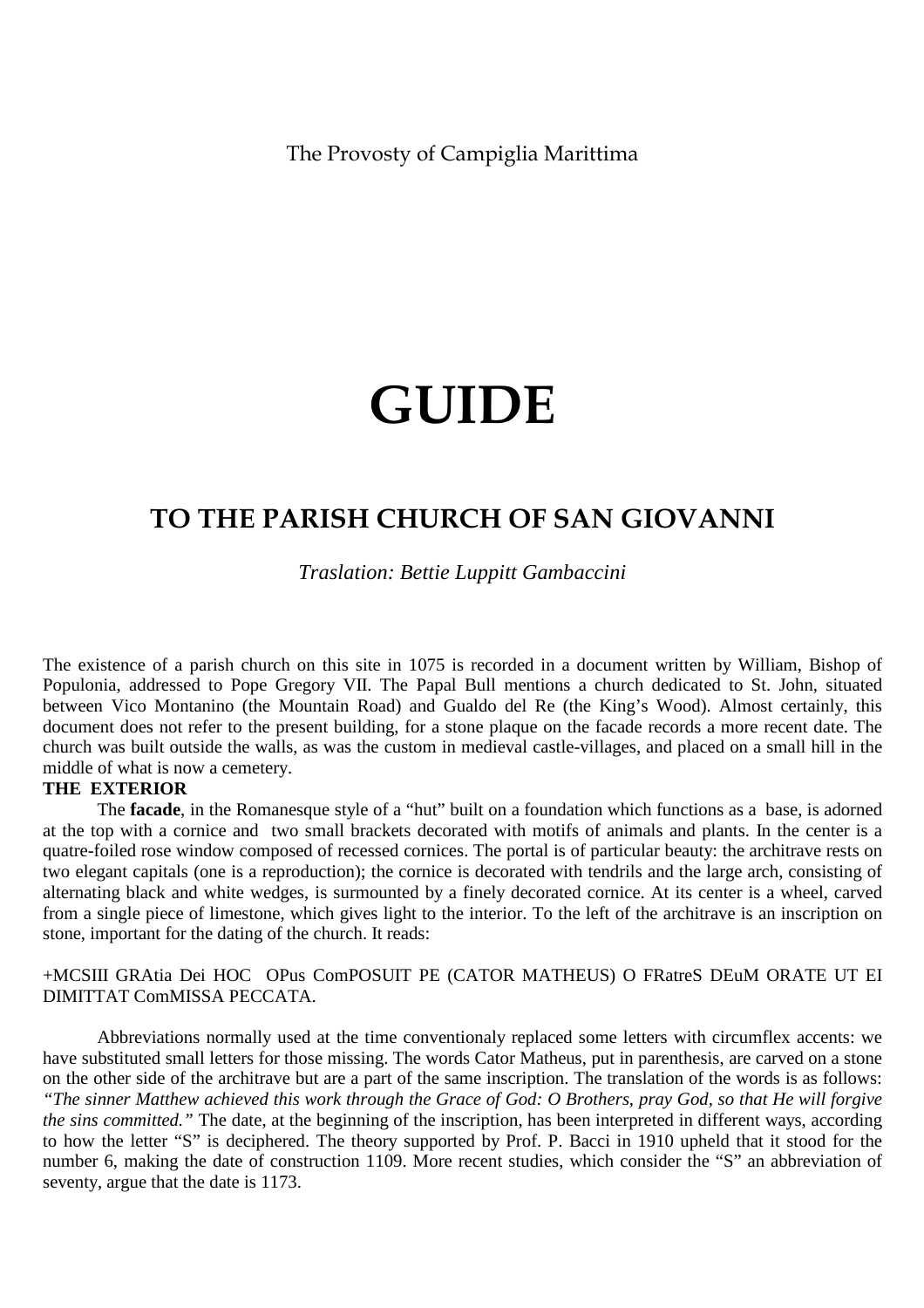The Provosty of Campiglia Marittima

# **GUIDE**

# **TO THE PARISH CHURCH OF SAN GIOVANNI**

*Traslation: Bettie Luppitt Gambaccini* 

The existence of a parish church on this site in 1075 is recorded in a document written by William, Bishop of Populonia, addressed to Pope Gregory VII. The Papal Bull mentions a church dedicated to St. John, situated between Vico Montanino (the Mountain Road) and Gualdo del Re (the King's Wood). Almost certainly, this document does not refer to the present building, for a stone plaque on the facade records a more recent date. The church was built outside the walls, as was the custom in medieval castle-villages, and placed on a small hill in the middle of what is now a cemetery.

# **THE EXTERIOR**

 The **facade**, in the Romanesque style of a "hut" built on a foundation which functions as a base, is adorned at the top with a cornice and two small brackets decorated with motifs of animals and plants. In the center is a quatre-foiled rose window composed of recessed cornices. The portal is of particular beauty: the architrave rests on two elegant capitals (one is a reproduction); the cornice is decorated with tendrils and the large arch, consisting of alternating black and white wedges, is surmounted by a finely decorated cornice. At its center is a wheel, carved from a single piece of limestone, which gives light to the interior. To the left of the architrave is an inscription on stone, important for the dating of the church. It reads:

+MCSIII GRAtia Dei HOC OPus ComPOSUIT PE (CATOR MATHEUS) O FRatreS DEuM ORATE UT EI DIMITTAT ComMISSA PECCATA.

 Abbreviations normally used at the time conventionaly replaced some letters with circumflex accents: we have substituted small letters for those missing. The words Cator Matheus, put in parenthesis, are carved on a stone on the other side of the architrave but are a part of the same inscription. The translation of the words is as follows: *"The sinner Matthew achieved this work through the Grace of God: O Brothers, pray God, so that He will forgive the sins committed."* The date, at the beginning of the inscription, has been interpreted in different ways, according to how the letter "S" is deciphered. The theory supported by Prof. P. Bacci in 1910 upheld that it stood for the number 6, making the date of construction 1109. More recent studies, which consider the "S" an abbreviation of seventy, argue that the date is 1173.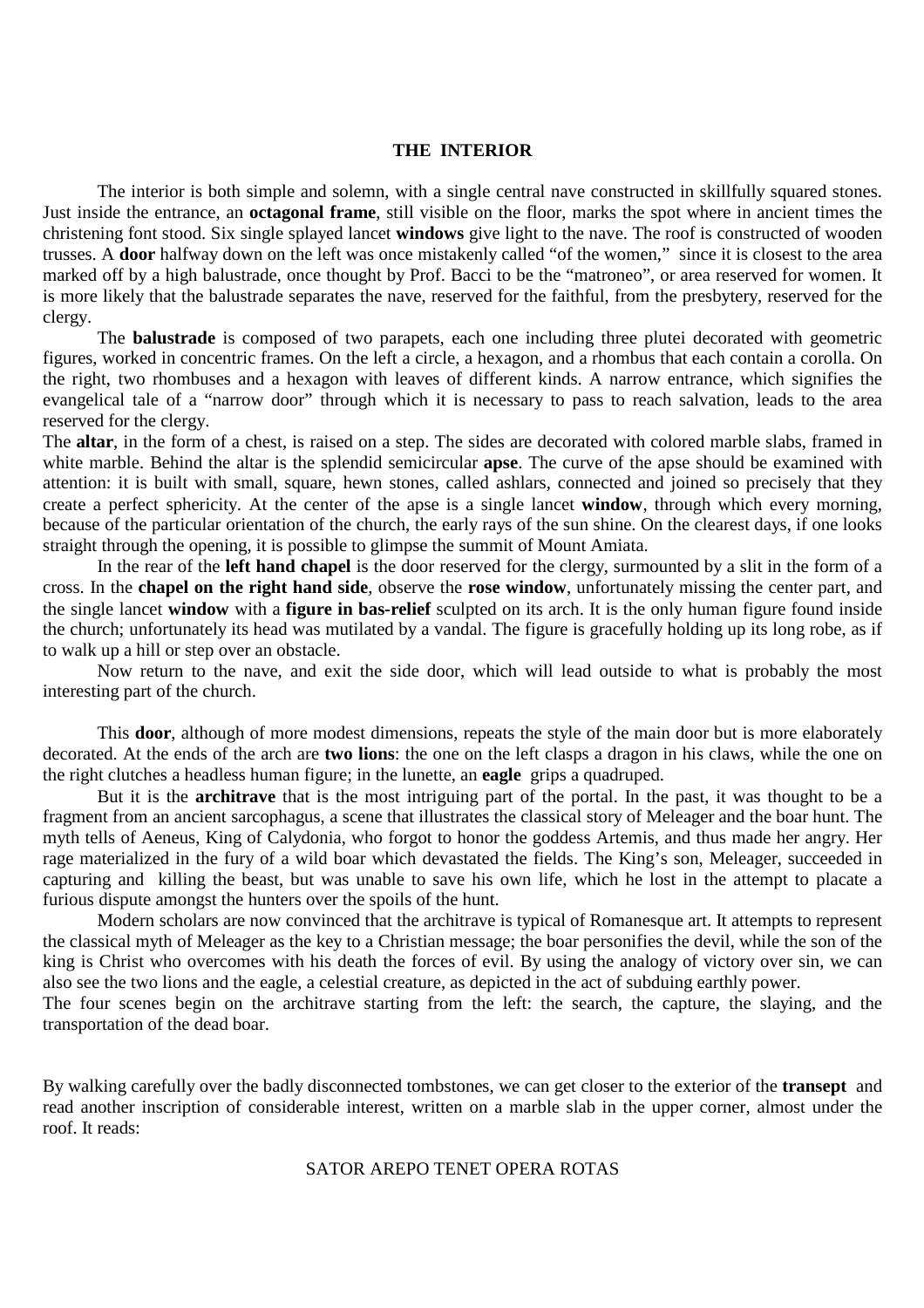# **THE INTERIOR**

 The interior is both simple and solemn, with a single central nave constructed in skillfully squared stones. Just inside the entrance, an **octagonal frame**, still visible on the floor, marks the spot where in ancient times the christening font stood. Six single splayed lancet **windows** give light to the nave. The roof is constructed of wooden trusses. A **door** halfway down on the left was once mistakenly called "of the women," since it is closest to the area marked off by a high balustrade, once thought by Prof. Bacci to be the "matroneo", or area reserved for women. It is more likely that the balustrade separates the nave, reserved for the faithful, from the presbytery, reserved for the clergy.

 The **balustrade** is composed of two parapets, each one including three plutei decorated with geometric figures, worked in concentric frames. On the left a circle, a hexagon, and a rhombus that each contain a corolla. On the right, two rhombuses and a hexagon with leaves of different kinds. A narrow entrance, which signifies the evangelical tale of a "narrow door" through which it is necessary to pass to reach salvation, leads to the area reserved for the clergy.

The **altar**, in the form of a chest, is raised on a step. The sides are decorated with colored marble slabs, framed in white marble. Behind the altar is the splendid semicircular **apse**. The curve of the apse should be examined with attention: it is built with small, square, hewn stones, called ashlars, connected and joined so precisely that they create a perfect sphericity. At the center of the apse is a single lancet **window**, through which every morning, because of the particular orientation of the church, the early rays of the sun shine. On the clearest days, if one looks straight through the opening, it is possible to glimpse the summit of Mount Amiata.

 In the rear of the **left hand chapel** is the door reserved for the clergy, surmounted by a slit in the form of a cross. In the **chapel on the right hand side**, observe the **rose window**, unfortunately missing the center part, and the single lancet **window** with a **figure in bas-relief** sculpted on its arch. It is the only human figure found inside the church; unfortunately its head was mutilated by a vandal. The figure is gracefully holding up its long robe, as if to walk up a hill or step over an obstacle.

 Now return to the nave, and exit the side door, which will lead outside to what is probably the most interesting part of the church.

 This **door**, although of more modest dimensions, repeats the style of the main door but is more elaborately decorated. At the ends of the arch are **two lions**: the one on the left clasps a dragon in his claws, while the one on the right clutches a headless human figure; in the lunette, an **eagle** grips a quadruped.

 But it is the **architrave** that is the most intriguing part of the portal. In the past, it was thought to be a fragment from an ancient sarcophagus, a scene that illustrates the classical story of Meleager and the boar hunt. The myth tells of Aeneus, King of Calydonia, who forgot to honor the goddess Artemis, and thus made her angry. Her rage materialized in the fury of a wild boar which devastated the fields. The King's son, Meleager, succeeded in capturing and killing the beast, but was unable to save his own life, which he lost in the attempt to placate a furious dispute amongst the hunters over the spoils of the hunt.

 Modern scholars are now convinced that the architrave is typical of Romanesque art. It attempts to represent the classical myth of Meleager as the key to a Christian message; the boar personifies the devil, while the son of the king is Christ who overcomes with his death the forces of evil. By using the analogy of victory over sin, we can also see the two lions and the eagle, a celestial creature, as depicted in the act of subduing earthly power.

The four scenes begin on the architrave starting from the left: the search, the capture, the slaying, and the transportation of the dead boar.

By walking carefully over the badly disconnected tombstones, we can get closer to the exterior of the **transept** and read another inscription of considerable interest, written on a marble slab in the upper corner, almost under the roof. It reads:

### SATOR AREPO TENET OPERA ROTAS